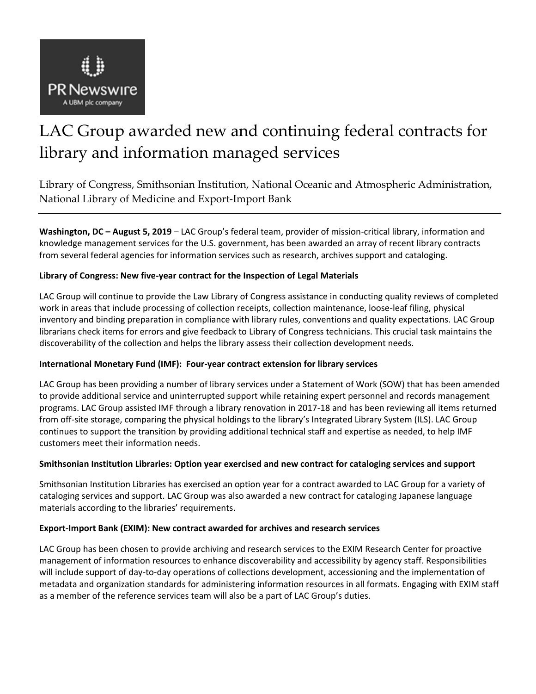

# LAC Group awarded new and continuing federal contracts for library and information managed services

Library of Congress, Smithsonian Institution, National Oceanic and Atmospheric Administration, National Library of Medicine and Export-Import Bank

**Washington, DC – August 5, 2019** – LAC Group's federal team, provider of mission-critical library, information and knowledge management services for the U.S. government, has been awarded an array of recent library contracts from several federal agencies for information services such as research, archives support and cataloging.

# **Library of Congress: New five-year contract for the Inspection of Legal Materials**

LAC Group will continue to provide the Law Library of Congress assistance in conducting quality reviews of completed work in areas that include processing of collection receipts, collection maintenance, loose-leaf filing, physical inventory and binding preparation in compliance with library rules, conventions and quality expectations. LAC Group librarians check items for errors and give feedback to Library of Congress technicians. This crucial task maintains the discoverability of the collection and helps the library assess their collection development needs.

## **International Monetary Fund (IMF): Four-year contract extension for library services**

LAC Group has been providing a number of library services under a Statement of Work (SOW) that has been amended to provide additional service and uninterrupted support while retaining expert personnel and records management programs. LAC Group assisted IMF through a library renovation in 2017-18 and has been reviewing all items returned from off-site storage, comparing the physical holdings to the library's Integrated Library System (ILS). LAC Group continues to support the transition by providing additional technical staff and expertise as needed, to help IMF customers meet their information needs.

## **Smithsonian Institution Libraries: Option year exercised and new contract for cataloging services and support**

Smithsonian Institution Libraries has exercised an option year for a contract awarded to LAC Group for a variety of cataloging services and support. LAC Group was also awarded a new contract for cataloging Japanese language materials according to the libraries' requirements.

## **Export-Import Bank (EXIM): New contract awarded for archives and research services**

LAC Group has been chosen to provide archiving and research services to the EXIM Research Center for proactive management of information resources to enhance discoverability and accessibility by agency staff. Responsibilities will include support of day-to-day operations of collections development, accessioning and the implementation of metadata and organization standards for administering information resources in all formats. Engaging with EXIM staff as a member of the reference services team will also be a part of LAC Group's duties.